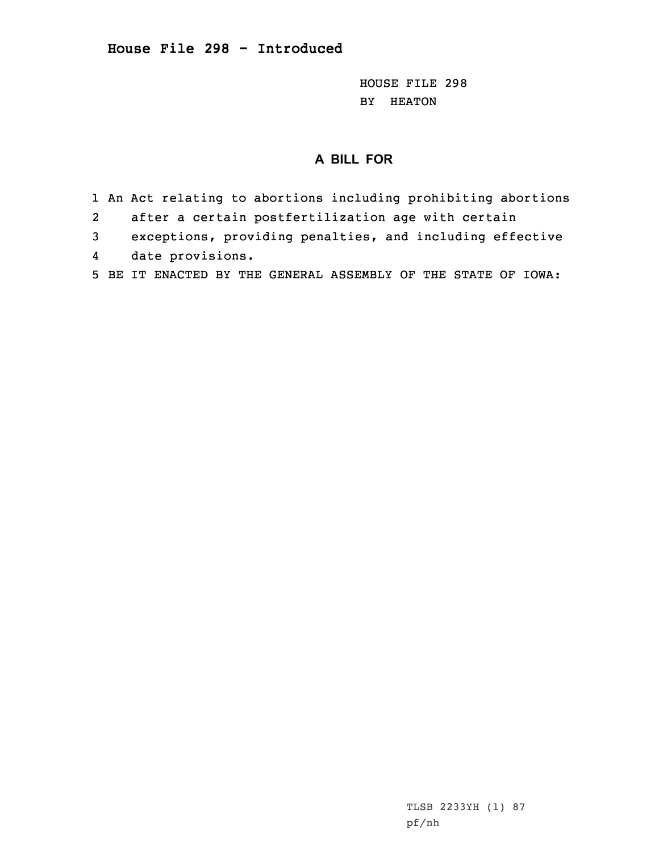HOUSE FILE 298 BY HEATON

## **A BILL FOR**

- 1 An Act relating to abortions including prohibiting abortions
- 2after <sup>a</sup> certain postfertilization age with certain
- 3 exceptions, providing penalties, and including effective
- 4date provisions.
- 5 BE IT ENACTED BY THE GENERAL ASSEMBLY OF THE STATE OF IOWA: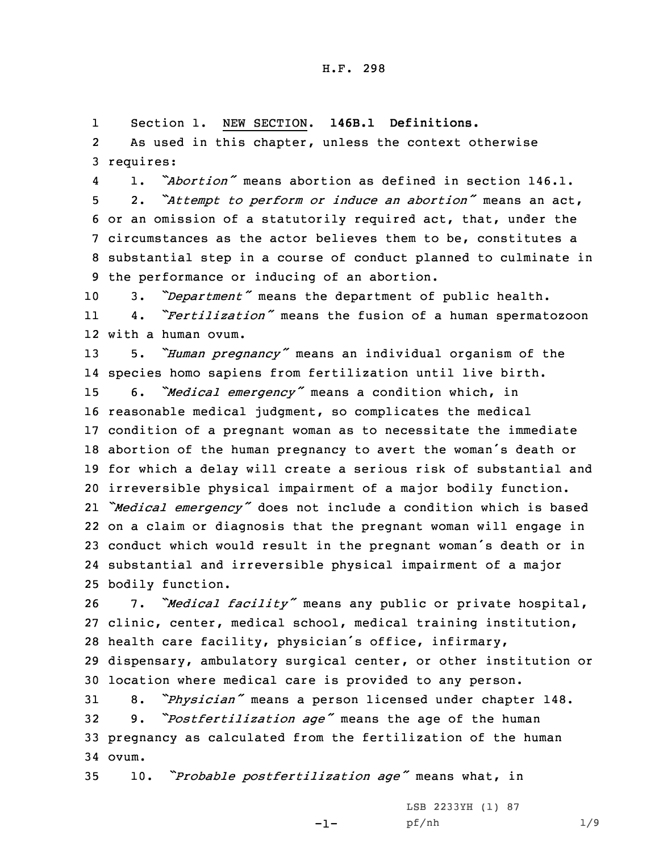1Section 1. NEW SECTION. **146B.1 Definitions.**

2 As used in this chapter, unless the context otherwise 3 requires:

41. *"Abortion"* means abortion as defined in section 146.1.

 2. *"Attempt to perform or induce an abortion"* means an act, or an omission of <sup>a</sup> statutorily required act, that, under the circumstances as the actor believes them to be, constitutes <sup>a</sup> substantial step in <sup>a</sup> course of conduct planned to culminate in the performance or inducing of an abortion.

<sup>10</sup> 3. *"Department"* means the department of public health. 11 4. *"Fertilization"* means the fusion of <sup>a</sup> human spermatozoon 12 with <sup>a</sup> human ovum.

 5. *"Human pregnancy"* means an individual organism of the species homo sapiens from fertilization until live birth. 6. *"Medical emergency"* means <sup>a</sup> condition which, in reasonable medical judgment, so complicates the medical condition of <sup>a</sup> pregnant woman as to necessitate the immediate abortion of the human pregnancy to avert the woman's death or for which <sup>a</sup> delay will create <sup>a</sup> serious risk of substantial and irreversible physical impairment of <sup>a</sup> major bodily function. *"Medical emergency"* does not include <sup>a</sup> condition which is based on <sup>a</sup> claim or diagnosis that the pregnant woman will engage in conduct which would result in the pregnant woman's death or in substantial and irreversible physical impairment of <sup>a</sup> major bodily function.

 7. *"Medical facility"* means any public or private hospital, clinic, center, medical school, medical training institution, health care facility, physician's office, infirmary, dispensary, ambulatory surgical center, or other institution or location where medical care is provided to any person.

 8. *"Physician"* means <sup>a</sup> person licensed under chapter 148. 9. *"Postfertilization age"* means the age of the human pregnancy as calculated from the fertilization of the human 34 ovum.

-1-

<sup>35</sup> 10. *"Probable postfertilization age"* means what, in

LSB 2233YH (1) 87 pf/nh 1/9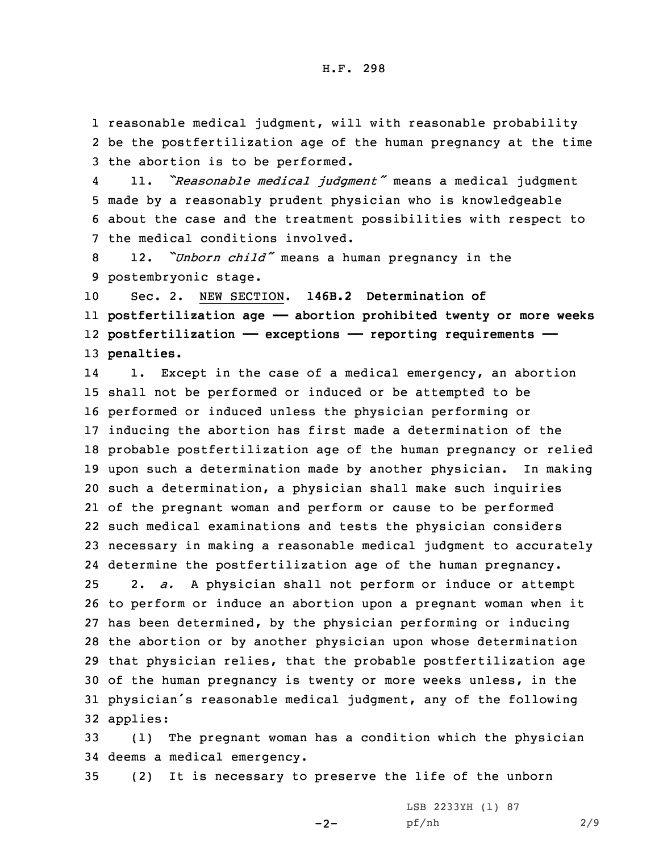1 reasonable medical judgment, will with reasonable probability 2 be the postfertilization age of the human pregnancy at the time 3 the abortion is to be performed.

4 11. *"Reasonable medical judgment"* means <sup>a</sup> medical judgment 5 made by <sup>a</sup> reasonably prudent physician who is knowledgeable 6 about the case and the treatment possibilities with respect to 7 the medical conditions involved.

<sup>8</sup> 12. *"Unborn child"* means <sup>a</sup> human pregnancy in the 9 postembryonic stage.

 Sec. 2. NEW SECTION. **146B.2 Determination of postfertilization age —— abortion prohibited twenty or more weeks postfertilization —— exceptions —— reporting requirements —— penalties.**

14 1. Except in the case of <sup>a</sup> medical emergency, an abortion shall not be performed or induced or be attempted to be performed or induced unless the physician performing or inducing the abortion has first made <sup>a</sup> determination of the probable postfertilization age of the human pregnancy or relied upon such <sup>a</sup> determination made by another physician. In making such <sup>a</sup> determination, <sup>a</sup> physician shall make such inquiries of the pregnant woman and perform or cause to be performed such medical examinations and tests the physician considers necessary in making <sup>a</sup> reasonable medical judgment to accurately determine the postfertilization age of the human pregnancy. 2. *a.* <sup>A</sup> physician shall not perform or induce or attempt to perform or induce an abortion upon <sup>a</sup> pregnant woman when it has been determined, by the physician performing or inducing the abortion or by another physician upon whose determination that physician relies, that the probable postfertilization age of the human pregnancy is twenty or more weeks unless, in the physician's reasonable medical judgment, any of the following 32 applies:

33 (1) The pregnant woman has <sup>a</sup> condition which the physician 34 deems <sup>a</sup> medical emergency.

35 (2) It is necessary to preserve the life of the unborn

 $-2-$ 

LSB 2233YH (1) 87 pf/nh 2/9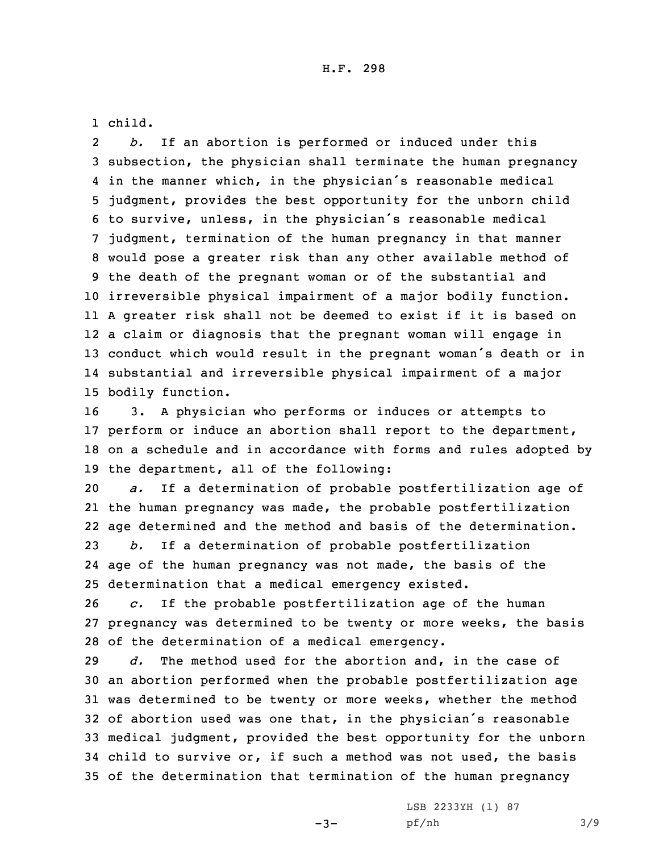1 child.

2 *b.* If an abortion is performed or induced under this subsection, the physician shall terminate the human pregnancy in the manner which, in the physician's reasonable medical judgment, provides the best opportunity for the unborn child to survive, unless, in the physician's reasonable medical judgment, termination of the human pregnancy in that manner would pose <sup>a</sup> greater risk than any other available method of the death of the pregnant woman or of the substantial and irreversible physical impairment of <sup>a</sup> major bodily function. <sup>A</sup> greater risk shall not be deemed to exist if it is based on <sup>a</sup> claim or diagnosis that the pregnant woman will engage in conduct which would result in the pregnant woman's death or in substantial and irreversible physical impairment of <sup>a</sup> major bodily function.

 3. <sup>A</sup> physician who performs or induces or attempts to perform or induce an abortion shall report to the department, on <sup>a</sup> schedule and in accordance with forms and rules adopted by the department, all of the following:

 *a.* If <sup>a</sup> determination of probable postfertilization age of the human pregnancy was made, the probable postfertilization age determined and the method and basis of the determination. *b.* If <sup>a</sup> determination of probable postfertilization

24 age of the human pregnancy was not made, the basis of the 25 determination that <sup>a</sup> medical emergency existed.

26 *c.* If the probable postfertilization age of the human 27 pregnancy was determined to be twenty or more weeks, the basis 28 of the determination of <sup>a</sup> medical emergency.

 *d.* The method used for the abortion and, in the case of an abortion performed when the probable postfertilization age was determined to be twenty or more weeks, whether the method of abortion used was one that, in the physician's reasonable medical judgment, provided the best opportunity for the unborn child to survive or, if such <sup>a</sup> method was not used, the basis of the determination that termination of the human pregnancy

 $-3-$ 

LSB 2233YH (1) 87 pf/nh 3/9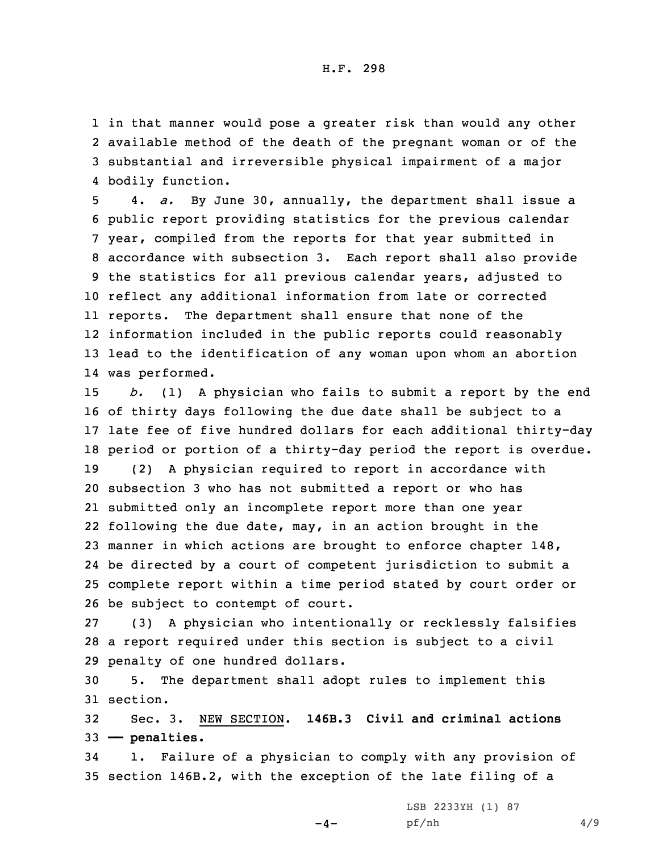in that manner would pose <sup>a</sup> greater risk than would any other available method of the death of the pregnant woman or of the substantial and irreversible physical impairment of <sup>a</sup> major bodily function.

 4. *a.* By June 30, annually, the department shall issue <sup>a</sup> public report providing statistics for the previous calendar year, compiled from the reports for that year submitted in accordance with subsection 3. Each report shall also provide the statistics for all previous calendar years, adjusted to reflect any additional information from late or corrected reports. The department shall ensure that none of the information included in the public reports could reasonably lead to the identification of any woman upon whom an abortion was performed.

 *b.* (1) <sup>A</sup> physician who fails to submit <sup>a</sup> report by the end of thirty days following the due date shall be subject to <sup>a</sup> late fee of five hundred dollars for each additional thirty-day period or portion of <sup>a</sup> thirty-day period the report is overdue. (2) <sup>A</sup> physician required to report in accordance with subsection 3 who has not submitted <sup>a</sup> report or who has submitted only an incomplete report more than one year following the due date, may, in an action brought in the manner in which actions are brought to enforce chapter 148, be directed by <sup>a</sup> court of competent jurisdiction to submit <sup>a</sup> complete report within <sup>a</sup> time period stated by court order or be subject to contempt of court.

27 (3) <sup>A</sup> physician who intentionally or recklessly falsifies 28 <sup>a</sup> report required under this section is subject to <sup>a</sup> civil 29 penalty of one hundred dollars.

30 5. The department shall adopt rules to implement this 31 section.

32 Sec. 3. NEW SECTION. **146B.3 Civil and criminal actions** 33 **—— penalties.**

34 1. Failure of <sup>a</sup> physician to comply with any provision of 35 section 146B.2, with the exception of the late filing of <sup>a</sup>

 $-4-$ 

LSB 2233YH (1) 87 pf/nh 4/9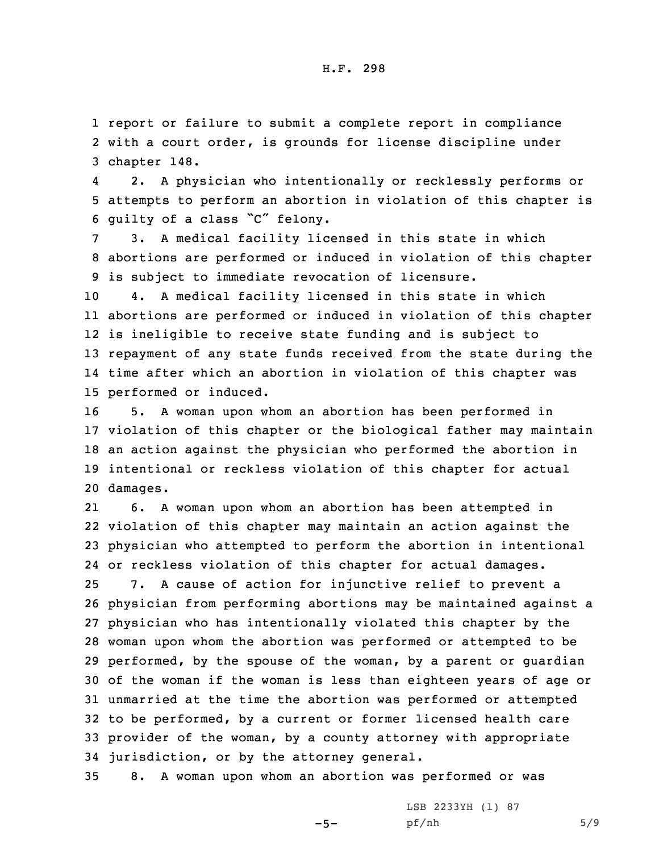1 report or failure to submit <sup>a</sup> complete report in compliance 2 with <sup>a</sup> court order, is grounds for license discipline under 3 chapter 148.

4 2. <sup>A</sup> physician who intentionally or recklessly performs or 5 attempts to perform an abortion in violation of this chapter is <sup>6</sup> guilty of <sup>a</sup> class "C" felony.

7 3. <sup>A</sup> medical facility licensed in this state in which 8 abortions are performed or induced in violation of this chapter 9 is subject to immediate revocation of licensure.

 4. <sup>A</sup> medical facility licensed in this state in which abortions are performed or induced in violation of this chapter is ineligible to receive state funding and is subject to repayment of any state funds received from the state during the time after which an abortion in violation of this chapter was performed or induced.

 5. <sup>A</sup> woman upon whom an abortion has been performed in violation of this chapter or the biological father may maintain an action against the physician who performed the abortion in intentional or reckless violation of this chapter for actual 20 damages.

21 6. <sup>A</sup> woman upon whom an abortion has been attempted in violation of this chapter may maintain an action against the physician who attempted to perform the abortion in intentional or reckless violation of this chapter for actual damages. 7. <sup>A</sup> cause of action for injunctive relief to prevent <sup>a</sup> physician from performing abortions may be maintained against <sup>a</sup> physician who has intentionally violated this chapter by the woman upon whom the abortion was performed or attempted to be performed, by the spouse of the woman, by <sup>a</sup> parent or guardian of the woman if the woman is less than eighteen years of age or unmarried at the time the abortion was performed or attempted to be performed, by <sup>a</sup> current or former licensed health care provider of the woman, by <sup>a</sup> county attorney with appropriate jurisdiction, or by the attorney general.

35 8. <sup>A</sup> woman upon whom an abortion was performed or was

 $-5-$ 

LSB 2233YH (1) 87 pf/nh 5/9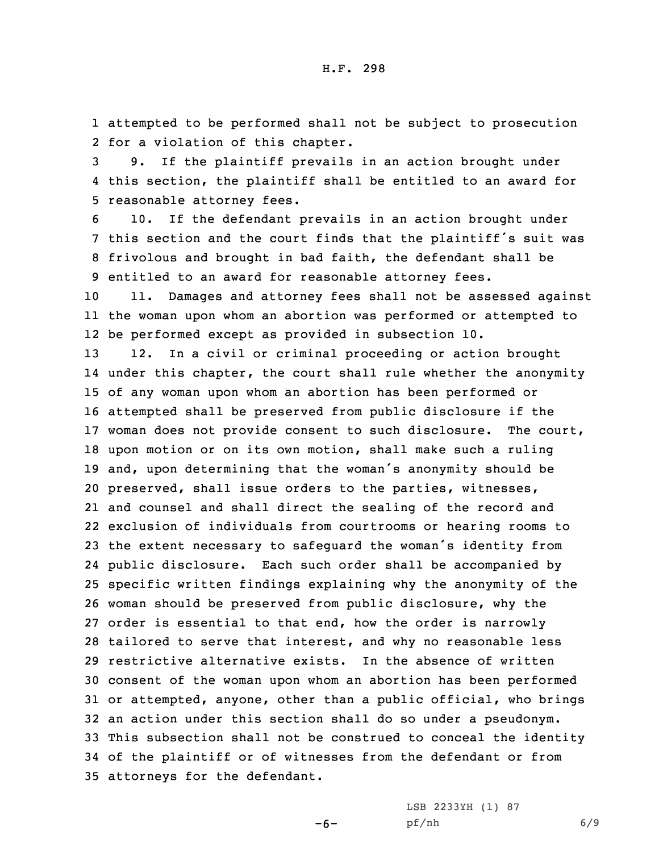1 attempted to be performed shall not be subject to prosecution 2 for <sup>a</sup> violation of this chapter.

3 9. If the plaintiff prevails in an action brought under 4 this section, the plaintiff shall be entitled to an award for 5 reasonable attorney fees.

 10. If the defendant prevails in an action brought under this section and the court finds that the plaintiff's suit was frivolous and brought in bad faith, the defendant shall be entitled to an award for reasonable attorney fees.

10 11. Damages and attorney fees shall not be assessed against 11 the woman upon whom an abortion was performed or attempted to 12 be performed except as provided in subsection 10.

 12. In <sup>a</sup> civil or criminal proceeding or action brought under this chapter, the court shall rule whether the anonymity of any woman upon whom an abortion has been performed or attempted shall be preserved from public disclosure if the woman does not provide consent to such disclosure. The court, upon motion or on its own motion, shall make such <sup>a</sup> ruling and, upon determining that the woman's anonymity should be preserved, shall issue orders to the parties, witnesses, and counsel and shall direct the sealing of the record and exclusion of individuals from courtrooms or hearing rooms to the extent necessary to safeguard the woman's identity from public disclosure. Each such order shall be accompanied by specific written findings explaining why the anonymity of the woman should be preserved from public disclosure, why the order is essential to that end, how the order is narrowly tailored to serve that interest, and why no reasonable less restrictive alternative exists. In the absence of written consent of the woman upon whom an abortion has been performed or attempted, anyone, other than <sup>a</sup> public official, who brings an action under this section shall do so under <sup>a</sup> pseudonym. This subsection shall not be construed to conceal the identity of the plaintiff or of witnesses from the defendant or from attorneys for the defendant.

-6-

LSB 2233YH (1) 87 pf/nh 6/9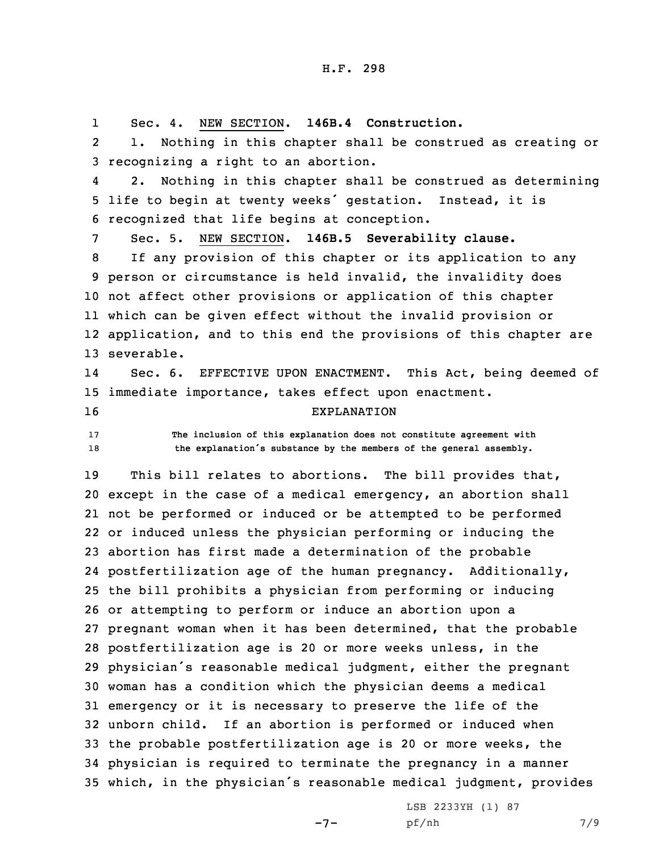1Sec. 4. NEW SECTION. **146B.4 Construction.**

2 1. Nothing in this chapter shall be construed as creating or 3 recognizing <sup>a</sup> right to an abortion.

4 2. Nothing in this chapter shall be construed as determining <sup>5</sup> life to begin at twenty weeks' gestation. Instead, it is 6 recognized that life begins at conception.

7 Sec. 5. NEW SECTION. **146B.5 Severability clause.**

 If any provision of this chapter or its application to any person or circumstance is held invalid, the invalidity does not affect other provisions or application of this chapter which can be given effect without the invalid provision or application, and to this end the provisions of this chapter are severable.

14 Sec. 6. EFFECTIVE UPON ENACTMENT. This Act, being deemed of 15 immediate importance, takes effect upon enactment.

16 EXPLANATION

17 **The inclusion of this explanation does not constitute agreement with** <sup>18</sup> **the explanation's substance by the members of the general assembly.**

 This bill relates to abortions. The bill provides that, except in the case of <sup>a</sup> medical emergency, an abortion shall not be performed or induced or be attempted to be performed or induced unless the physician performing or inducing the abortion has first made <sup>a</sup> determination of the probable postfertilization age of the human pregnancy. Additionally, the bill prohibits <sup>a</sup> physician from performing or inducing or attempting to perform or induce an abortion upon <sup>a</sup> pregnant woman when it has been determined, that the probable postfertilization age is 20 or more weeks unless, in the physician's reasonable medical judgment, either the pregnant woman has <sup>a</sup> condition which the physician deems <sup>a</sup> medical emergency or it is necessary to preserve the life of the unborn child. If an abortion is performed or induced when the probable postfertilization age is 20 or more weeks, the physician is required to terminate the pregnancy in <sup>a</sup> manner which, in the physician's reasonable medical judgment, provides

 $-7-$ 

LSB 2233YH (1) 87 pf/nh 7/9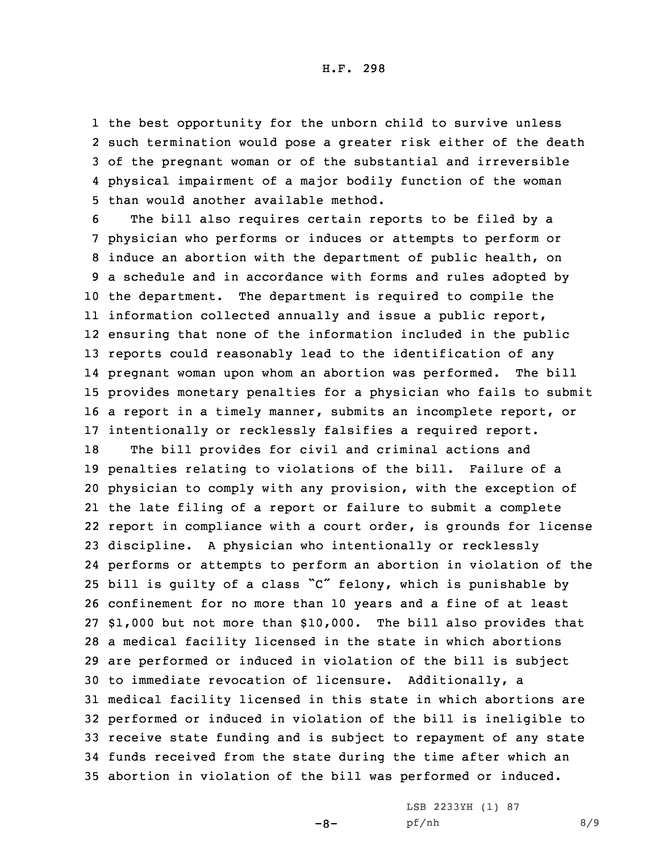H.F. 298

 the best opportunity for the unborn child to survive unless such termination would pose <sup>a</sup> greater risk either of the death of the pregnant woman or of the substantial and irreversible physical impairment of <sup>a</sup> major bodily function of the woman than would another available method.

 The bill also requires certain reports to be filed by <sup>a</sup> physician who performs or induces or attempts to perform or induce an abortion with the department of public health, on <sup>a</sup> schedule and in accordance with forms and rules adopted by the department. The department is required to compile the information collected annually and issue <sup>a</sup> public report, ensuring that none of the information included in the public reports could reasonably lead to the identification of any pregnant woman upon whom an abortion was performed. The bill provides monetary penalties for <sup>a</sup> physician who fails to submit <sup>a</sup> report in <sup>a</sup> timely manner, submits an incomplete report, or intentionally or recklessly falsifies <sup>a</sup> required report.

 The bill provides for civil and criminal actions and penalties relating to violations of the bill. Failure of <sup>a</sup> physician to comply with any provision, with the exception of the late filing of <sup>a</sup> report or failure to submit <sup>a</sup> complete report in compliance with <sup>a</sup> court order, is grounds for license discipline. <sup>A</sup> physician who intentionally or recklessly performs or attempts to perform an abortion in violation of the bill is guilty of <sup>a</sup> class "C" felony, which is punishable by confinement for no more than 10 years and <sup>a</sup> fine of at least \$1,000 but not more than \$10,000. The bill also provides that <sup>a</sup> medical facility licensed in the state in which abortions are performed or induced in violation of the bill is subject to immediate revocation of licensure. Additionally, <sup>a</sup> medical facility licensed in this state in which abortions are performed or induced in violation of the bill is ineligible to receive state funding and is subject to repayment of any state funds received from the state during the time after which an abortion in violation of the bill was performed or induced.

 $-8-$ 

LSB 2233YH (1) 87 pf/nh 8/9